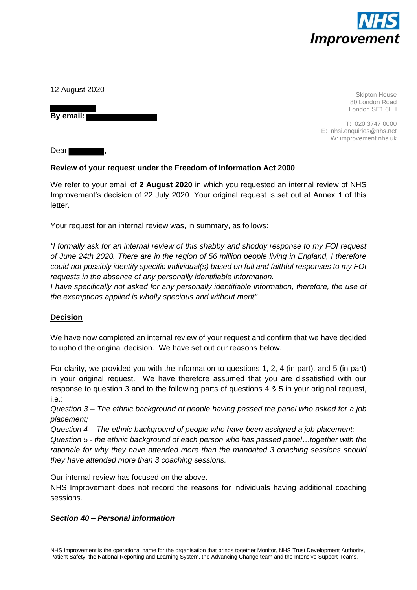

12 August 2020

**By email:** 

Skipton House 80 London Road London SE1 6LH

T: 020 3747 0000 E: nhsi.enquiries@nhs.net W: improvement.nhs.uk

Dear

# **Review of your request under the Freedom of Information Act 2000**

We refer to your email of **2 August 2020** in which you requested an internal review of NHS Improvement's decision of 22 July 2020. Your original request is set out at Annex 1 of this letter.

Your request for an internal review was, in summary, as follows:

*"I formally ask for an internal review of this shabby and shoddy response to my FOI request of June 24th 2020. There are in the region of 56 million people living in England, I therefore could not possibly identify specific individual(s) based on full and faithful responses to my FOI requests in the absence of any personally identifiable information.*

*I have specifically not asked for any personally identifiable information, therefore, the use of the exemptions applied is wholly specious and without merit"*

# **Decision**

We have now completed an internal review of your request and confirm that we have decided to uphold the original decision. We have set out our reasons below.

For clarity, we provided you with the information to questions 1, 2, 4 (in part), and 5 (in part) in your original request. We have therefore assumed that you are dissatisfied with our response to question 3 and to the following parts of questions 4 & 5 in your original request, i.e.:

*Question 3 – The ethnic background of people having passed the panel who asked for a job placement;*

*Question 4 – The ethnic background of people who have been assigned a job placement;*

*Question 5 - the ethnic background of each person who has passed panel…together with the rationale for why they have attended more than the mandated 3 coaching sessions should they have attended more than 3 coaching sessions.* 

Our internal review has focused on the above.

NHS Improvement does not record the reasons for individuals having additional coaching sessions.

#### *Section 40 – Personal information*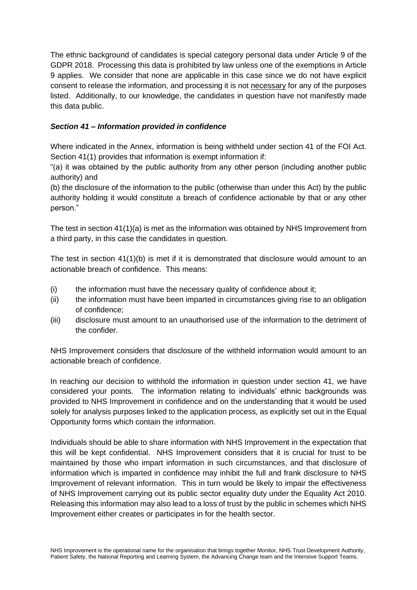The ethnic background of candidates is special category personal data under Article 9 of the GDPR 2018. Processing this data is prohibited by law unless one of the exemptions in Article 9 applies. We consider that none are applicable in this case since we do not have explicit consent to release the information, and processing it is not necessary for any of the purposes listed. Additionally, to our knowledge, the candidates in question have not manifestly made this data public.

## *Section 41 – Information provided in confidence*

Where indicated in the Annex, information is being withheld under section 41 of the FOI Act. Section 41(1) provides that information is exempt information if:

"(a) it was obtained by the public authority from any other person (including another public authority) and

(b) the disclosure of the information to the public (otherwise than under this Act) by the public authority holding it would constitute a breach of confidence actionable by that or any other person."

The test in section 41(1)(a) is met as the information was obtained by NHS Improvement from a third party, in this case the candidates in question.

The test in section 41(1)(b) is met if it is demonstrated that disclosure would amount to an actionable breach of confidence. This means:

- (i) the information must have the necessary quality of confidence about it;
- (ii) the information must have been imparted in circumstances giving rise to an obligation of confidence;
- (iii) disclosure must amount to an unauthorised use of the information to the detriment of the confider.

NHS Improvement considers that disclosure of the withheld information would amount to an actionable breach of confidence.

In reaching our decision to withhold the information in question under section 41, we have considered your points. The information relating to individuals' ethnic backgrounds was provided to NHS Improvement in confidence and on the understanding that it would be used solely for analysis purposes linked to the application process, as explicitly set out in the Equal Opportunity forms which contain the information.

Individuals should be able to share information with NHS Improvement in the expectation that this will be kept confidential. NHS Improvement considers that it is crucial for trust to be maintained by those who impart information in such circumstances, and that disclosure of information which is imparted in confidence may inhibit the full and frank disclosure to NHS Improvement of relevant information. This in turn would be likely to impair the effectiveness of NHS Improvement carrying out its public sector equality duty under the Equality Act 2010. Releasing this information may also lead to a loss of trust by the public in schemes which NHS Improvement either creates or participates in for the health sector.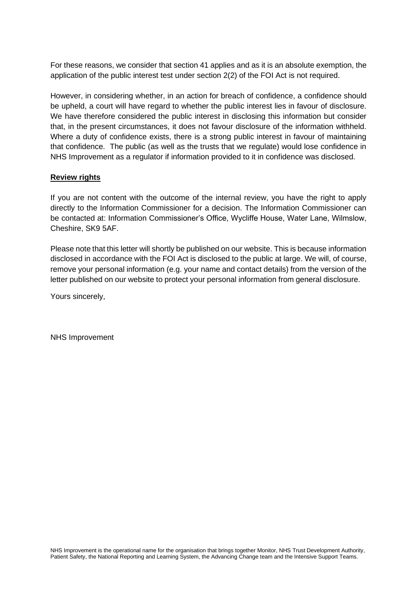For these reasons, we consider that section 41 applies and as it is an absolute exemption, the application of the public interest test under section 2(2) of the FOI Act is not required.

However, in considering whether, in an action for breach of confidence, a confidence should be upheld, a court will have regard to whether the public interest lies in favour of disclosure. We have therefore considered the public interest in disclosing this information but consider that, in the present circumstances, it does not favour disclosure of the information withheld. Where a duty of confidence exists, there is a strong public interest in favour of maintaining that confidence. The public (as well as the trusts that we regulate) would lose confidence in NHS Improvement as a regulator if information provided to it in confidence was disclosed.

### **Review rights**

If you are not content with the outcome of the internal review, you have the right to apply directly to the Information Commissioner for a decision. The Information Commissioner can be contacted at: Information Commissioner's Office, Wycliffe House, Water Lane, Wilmslow, Cheshire, SK9 5AF.

Please note that this letter will shortly be published on our website. This is because information disclosed in accordance with the FOI Act is disclosed to the public at large. We will, of course, remove your personal information (e.g. your name and contact details) from the version of the letter published on our website to protect your personal information from general disclosure.

Yours sincerely,

NHS Improvement